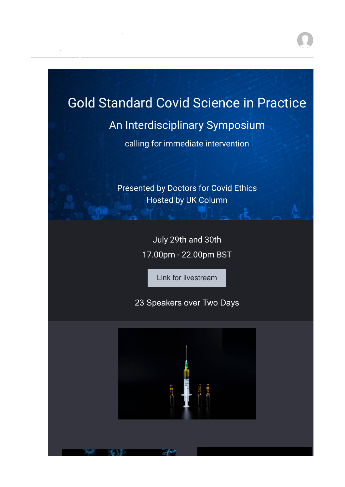# Gold Standard Covid Science in Practice

**From: Doctors for Covid [Ethics](mailto:Ethicsinfo@doctors4covidethics.org)** [info@doctors4covidethics.org](mailto:Ethicsinfo@doctors4covidethics.org)

**To:** [lissa@lissajohnson.com.au](mailto:lissa@lissajohnson.com.au)

# An Interdisciplinary Symposium

calling for immediate intervention

Presented by Doctors for Covid Ethics Hosted by UK Column

> July 29th and 30th 17.00pm - 22.00pm BST

> > [Link for livestream](https://mail.doctors4covidethics.org/lists/lt.php?tid=fElRWldXBQFbBxVVVVcAGARUUwUaWAQGC04JBQNSWlBQDQIHAgFJUFtTXgNRCgcYB1EAVxpVBARXTgFWVgRPBwwGUFAFBwdQAVMJT1JWVVYJUFRXGgQID1JODQpXAE8GBlFeTl9RUQUPCwoFBlcABA)

23 Speakers over Two Days

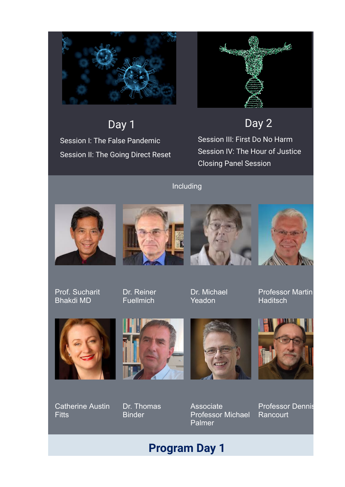

Day 1 Session I: The False Pandemic Session II: The Going Direct Reset



Day 2

Session III: First Do No Harm Session IV: The Hour of Justice Closing Panel Session

# Including









Prof. Sucharit Bhakdi MD

Dr. Reiner **Fuellmich** 

Dr. Michael Yeadon

Professor Martin **Haditsch** 



Catherine Austin **Fitts** 









Associate Professor Michael Palmer

Professor Dennis **Rancourt** 

# **Program Day 1**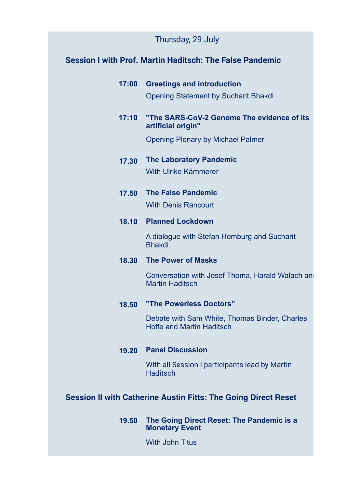# Thursday, 29 July

## **Session I with Prof. Martin Haditsch: The False Pandemic**

| 17:00 Greetings and introduction            |  |  |  |
|---------------------------------------------|--|--|--|
| <b>Opening Statement by Sucharit Bhakdi</b> |  |  |  |

### **17:10 "The SARS-CoV-2 Genome The evidence of its artificial origin"**

Opening Plenary by Michael Palmer

# **17.30 The Laboratory Pandemic**

With Ulrike Kämmerer

**17.50 The False Pandemic**

With Denis Rancourt

### **18.10 Planned Lockdown**

A dialogue with Stefan Homburg and Sucharit Bhakdi

### **18.30 The Power of Masks**

Conversation with Josef Thoma, Harald Walach and Martin Haditsch

### **18.50 "The Powerless Doctors"**

Debate with Sam White, Thomas Binder, Charles Hoffe and Martin Haditsch

### **19.20 Panel Discussion**

With all Session I participants lead by Martin **Haditsch** 

# **Session II with Catherine Austin Fitts: The Going Direct Reset**

### **19.50 The Going Direct Reset: The Pandemic is a Monetary Event**

With John Titus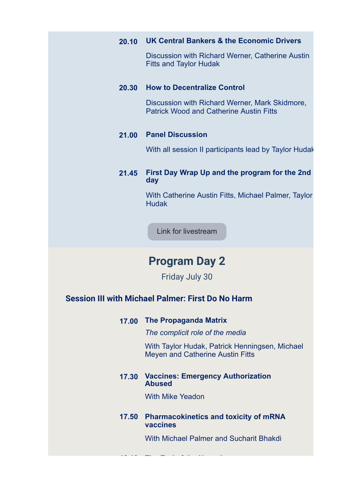|  | 20.10 UK Central Bankers & the Economic Drivers |  |  |  |  |
|--|-------------------------------------------------|--|--|--|--|
|--|-------------------------------------------------|--|--|--|--|

Discussion with Richard Werner, Catherine Austin Fitts and Taylor Hudak

#### **20.30 How to Decentralize Control**

Discussion with Richard Werner, Mark Skidmore, Patrick Wood and Catherine Austin Fitts

### **21.00 Panel Discussion**

With all session II participants lead by Taylor Hudak

### **21.45 First Day Wrap Up and the program for the 2nd day**

With Catherine Austin Fitts, Michael Palmer, Taylor **Hudak** 

[Link for livestream](https://mail.doctors4covidethics.org/lists/lt.php?tid=fElRWldXBQFbBxVVVVcAGARUUwUaWAQGC04JBQNSWlBQDQIHAgFJUFtTXgNRCgcYB1EAVxpVBARXTgFWVgRPBwwGUFAFBwdQAVMJT1JWVVYJUFRXGgQID1JODQpXAE8GBlFeTl9RUQUPCwoFBlcABA)

# **Program Day 2**

Friday July 30

### **Session III with Michael Palmer: First Do No Harm**

**17.00 The Propaganda Matrix**

*The complicit role of the media*

With Taylor Hudak, Patrick Henningsen, Michael Meyen and Catherine Austin Fitts

### **17.30 Vaccines: Emergency Authorization Abused**

With Mike Yeadon

**18.10 The End of the Narrative** 

### **17.50 Pharmacokinetics and toxicity of mRNA vaccines**

With Michael Palmer and Sucharit Bhakdi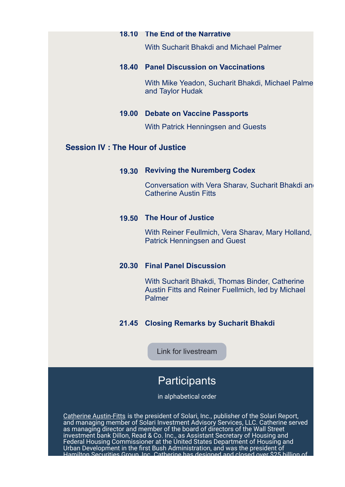#### **18.10 The End of the Narrative**

With Sucharit Bhakdi and Michael Palmer

### **18.40 Panel Discussion on Vaccinations**

With Mike Yeadon, Sucharit Bhakdi, Michael Palme and Taylor Hudak

### **19.00 Debate on Vaccine Passports**

With Patrick Henningsen and Guests

### **Session IV : The Hour of Justice**

### **19.30 Reviving the Nuremberg Codex**

Conversation with Vera Sharav, Sucharit Bhakdi and Catherine Austin Fitts

### **19.50 The Hour of Justice**

With Reiner Feullmich, Vera Sharav, Mary Holland, Patrick Henningsen and Guest

### **20.30 Final Panel Discussion**

With Sucharit Bhakdi, Thomas Binder, Catherine Austin Fitts and Reiner Fuellmich, led by Michael Palmer

### **21.45 Closing Remarks by Sucharit Bhakdi**

[Link for livestream](https://mail.doctors4covidethics.org/lists/lt.php?tid=fElRWldXBQFbBxVVVVcAGARUUwUaWAQGC04JBQNSWlBQDQIHAgFJUFtTXgNRCgcYB1EAVxpVBARXTgFWVgRPBwwGUFAFBwdQAVMJT1JWVVYJUFRXGgQID1JODQpXAE8GBlFeTl9RUQUPCwoFBlcABA)

# **Participants**

in alphabetical order

Catherine Austin-Fitts is the president of Solari, Inc., publisher of the Solari Report, and managing member of Solari Investment Advisory Services, LLC. Catherine served as managing director and member of the board of directors of the Wall Street investment bank Dillon, Read & Co. Inc., as Assistant Secretary of Housing and Federal Housing Commissioner at the United States Department of Housing and Urban Development in the first Bush Administration, and was the president of Hamilton Securities Group, Inc. Catherine has designed and closed over \$25 billion of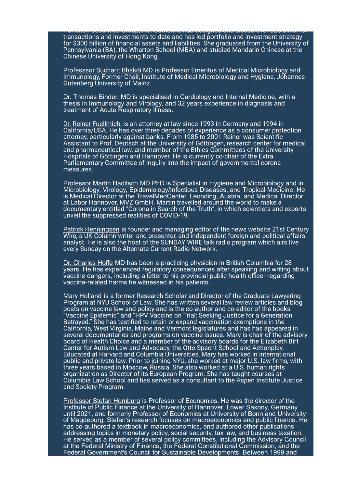Hamilton Securities Group, Inc. Catherine has designed and closed over \$25 billion of transactions and investments to-date and has led portfolio and investment strategy for \$300 billion of financial assets and liabilities. She graduated from the University of Pennsylvania (BA), the Wharton School (MBA) and studied Mandarin Chinese at the Chinese University of Hong Kong.

Professsor Sucharit Bhakdi MD is Professor Emeritus of Medical Microbiology and Immunology, Former Chair, Institute of Medical Microbiology and Hygiene, Johannes Gutenberg University of Mainz.

Dr. Thomas Binder, MD is specialised in Cardiology and Internal Medicine, with a thesis in Immunology and Virology, and 32 years experience in diagnosis and treatment of Acute Respiratory Illness.

Dr. Reiner Fuellmich, is an attorney at law since 1993 in Germany and 1994 in California/USA. He has over three decades of experience as a consumer protection attorney, particularly against banks. From 1985 to 2001 Reiner was Scientific Assistant to Prof. Deutsch at the University of Göttingen, research center for medical and pharmaceutical law, and member of the Ethics Committees of the University Hospitals of Göttingen and Hannover. He is currently co-chair of the Extra Parliamentary Committee of Inquiry into the impact of governmental corona measures.

Professor Martin Haditsch MD PhD is Specialist in Hygiene and Microbiology and in Microbiology, Virology, Epidemiology/Infectious Diseases, and Tropical Medicine. He is Medical Director at the TravelMedCenter, Leonding, Austria, and Medical Director at Labor Hannover, MVZ GmbH. Martin travelled around the world to make a documentary entitled "Corona in Search of the Truth", in which scientists and experts unveil the suppressed realities of COVID-19.

Patrick Henningsen is founder and managing editor of the news website 21st Century [Wire, a UK Column writer and presenter, and independent foreign and political affairs](https://mail.doctors4covidethics.org/lists/lt.php?tid=fEkCAlUFA1VaChVQAAFTGAQFVQcaA1dRUE4JUwAEBlUCVAIAUVNJUFtTXgNRCgcYB1EAVxpVBARXTgFWVgRPBwwGUFAFBwdQAVMJT1JWVVYJUFRXGgQID1JODQpXAE8GBlFeTl9RUQUPCwoFBlcABA) analyst. He is also the host of the SUNDAY WIRE talk radio program which airs live every Sunday on the [Alternate Current Radio Network](https://mail.doctors4covidethics.org/lists/lt.php?tid=fEkABVMABwdaARUGXVFaGARUCQAaA1NRC04LBARUU1EGUV4GUQdJUFtTXgNRCgcYB1EAVxpVBARXTgFWVgRPBwwGUFAFBwdQAVMJT1JWVVYJUFRXGgQID1JODQpXAE8GBlFeTl9RUQUPCwoFBlcABA).

Dr. Charles Hoffe MD has been a practicing physician in British Columbia for 28 years. He has experienced regulatory consequences after speaking and writing about vaccine dangers, including a letter to his provincial public health officer regarding vaccine-related harms he witnessed in his patients.

Mary Holland is a former Research Scholar and Director of the Graduate Lawyering **Program at NYU School of Law. She has written several law review articles and blog** posts on vaccine law and policy and is the co-author and co-editor of the books "Vaccine Epidemic" and "HPV Vaccine on Trial: Seeking Justice for a Generation Betrayed." She has testified to retain or expand vaccination exemptions in the California, West Virginia, Maine and Vermont legislatures and has has appeared in several documentaries and programs on vaccine issues. Mary is chair of the advisory board of Health Choice and a member of the advisory boards for the Elizabeth Birt Center for Autism Law and Advocacy, the Otto Specht School and Actionplay. Educated at Harvard and Columbia Universities, Mary has worked in international public and private law. Prior to joining NYU, she worked at major U.S. law firms, with three years based in Moscow, Russia. She also worked at a U.S. human rights organization as Director of its European Program. She has taught courses at Columbia Law School and has served as a consultant to the Aspen Institute Justice and Society Program.

Professor Stefan Homburg is Professor of E[conomics.](https://mail.doctors4covidethics.org/lists/lt.php?tid=fElUBgMBA1EKChUDB1FUGAQHAVAaWQFVBU4BCgFTUwAAA1daU1ZJUFtTXgNRCgcYB1EAVxpVBARXTgFWVgRPBwwGUFAFBwdQAVMJT1JWVVYJUFRXGgQID1JODQpXAE8GBlFeTl9RUQUPCwoFBlcABA) He was the director of the Institute of Public Finance at the [University of Hannover](https://mail.doctors4covidethics.org/lists/lt.php?tid=fEkAUlBUVlcMABUCV1cGGARRVVIaAARUBU4PAgdTAwJSVFIGUVRJUFtTXgNRCgcYB1EAVxpVBARXTgFWVgRPBwwGUFAFBwdQAVMJT1JWVVYJUFRXGgQID1JODQpXAE8GBlFeTl9RUQUPCwoFBlcABA), Lower Saxony, Germany [until 2021, and formerly Professor of Economics at](https://mail.doctors4covidethics.org/lists/lt.php?tid=fElSWlVRVwEBVBVVVQZSGARWBAAaWQZUAk4BBFMPA1YNVlAABVRJUFtTXgNRCgcYB1EAVxpVBARXTgFWVgRPBwwGUFAFBwdQAVMJT1JWVVYJUFRXGgQID1JODQpXAE8GBlFeTl9RUQUPCwoFBlcABA) [University of Bon](https://mail.doctors4covidethics.org/lists/lt.php?tid=fEkFBVRbDVcIChVVAwVQGARXBVUaWAgFBU4MAgpRB1ABVlFWB1BJUFtTXgNRCgcYB1EAVxpVBARXTgFWVgRPBwwGUFAFBwdQAVMJT1JWVVYJUFRXGgQID1JODQpXAE8GBlFeTl9RUQUPCwoFBlcABA)[n and University](https://mail.doctors4covidethics.org/lists/lt.php?tid=fElSWlVRVwEBVBVVVQZSGARWBAAaWQZUAk4BBFMPA1YNVlAABVRJUFtTXgNRCgcYB1EAVxpVBARXTgFWVgRPBwwGUFAFBwdQAVMJT1JWVVYJUFRXGgQID1JODQpXAE8GBlFeTl9RUQUPCwoFBlcABA) of Magdeburg. Stefan's research focuses on macroeconomics and public finance. He has co-authored a textbook in macroeconomics, and authored other publications addressing topics in monetary policy, social security, tax law, and business taxation. He served as a member of several policy committees, including the Advisory Council at the Federal Ministry of Finance, the Federal Constitutional Commission, and the Federal Government's Council for Sustainable Developments. Between 1999 and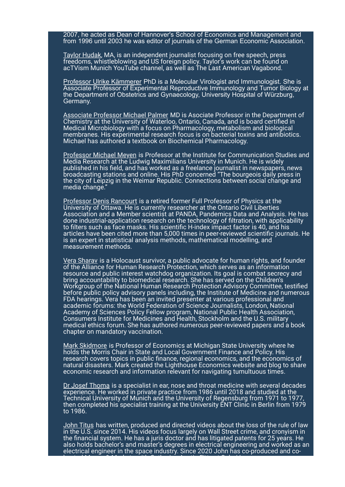2007, he acted as Dean of Hannover's School of Economics and Management and from 1996 until 2003 he was editor of journals of the German Economic Association.

Taylor Hudak, MA, is an independent journalist focusing on free speech, press freedoms, whistleblowing and US foreign policy. Taylor's work can be found on acTVism Munich YouTube channel, as well as The Last American Vagabond.

Professor Ulrike Kämmerer PhD is a Molecular Virologist and Immunologist. She is Associate Professor of Experimental Reproductive Immunology and Tumor Biology at the Department of Obstetrics and Gynaecology, University Hospital of Würzburg, Germany.

Associate Professor Michael Palmer MD is Asociate Professor in the Department of Chemistry at the University of Waterloo, Ontario, Canada, and is board certified in Medical Microbiology with a focus on Pharmacology, metabolism and biological membranes. His experimental research focus is on bacterial toxins and antibiotics. Michael has authored a textbook on Biochemical Pharmacology.

Professor Michael Meyen is Professor at the Institute for Communication Studies and Media Research at the Ludwig Maximilians University in Munich. He is widely published in his field, and has worked as a freelance journalist in newspapers, news broadcasting stations and online. His PhD concerned "The bourgeois daily press in the city of Leipzig in the Weimar Republic. Connections between social change and media change."

Professor Denis Rancourt is a retired former Full Professor of Physics at the University of Ottawa. He is currently researcher at the Ontario Civil Liberties Association and a Member scientist at PANDA, Pandemics Data and Analysis. He has done industrial-application research on the technology of filtration, with applicability to filters such as face masks. His scientific H-index impact factor is 40, and his articles have been cited more than 5,000 times in peer-reviewed scientific journals. He is an expert in statistical analysis methods, mathematical modelling, and measurement methods.

Vera Sharav is a Holocaust survivor, a public advocate for human rights, and founder of the Alliance for Human Research Protection, which serves as an information resource and public interest watchdog organization. Its goal is combat secrecy and bring accountability to biomedical research. She has served on the Children's Workgroup of the National Human Research Protection Advisory Committee, testified before public policy advisory panels including, the Institute of Medicine and numerous FDA hearings. Vera has been an invited presenter at various professional and academic forums: the World Federation of Science Journalists, London, National Academy of Sciences Policy Fellow program, National Public Health Association, Consumers Institute for Medicines and Health, Stockholm and the U.S. military medical ethics forum. She has authored numerous peer-reviewed papers and a book chapter on mandatory vaccination.

Mark Skidmore is Professor of Economics at Michigan State University where he holds the Morris Chair in State and Local Government Finance and Policy. His research covers topics in public finance, regional economics, and the economics of natural disasters. Mark created the Lighthouse Economics website and blog to share economic research and information relevant for navigating tumultuous times.

Dr Josef Thoma is a specialist in ear, nose and throat medicine with several decades experience. He worked in private practice from 1986 until 2018 and studied at the Technical University of Munich and the University of Regensburg from 1971 to 1977, then completed his specialist training at the University ENT Clinic in Berlin from 1979 to 1986.

John Titus has written, produced and directed videos about the loss of the rule of law in the U.S. since 2014. His videos focus largely on Wall Street crime, and cronyism in the financial system. He has a juris doctor and has litigated patents for 25 years. He also holds bachelor's and master's degrees in electrical engineering and worked as an electrical engineer in the space industry. Since 2020 John has co-produced and cohosted Money & Markets with Catherine Austin Fitts at Solari Inc.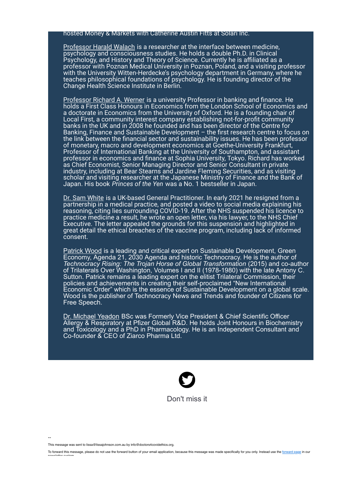#### hosted Money & Markets with Catherine Austin Fitts at Solari Inc.

Professor Harald Walach is a researcher at the interface between medicine, psychology and consciousness studies. He holds a double Ph.D. in Clinical Psychology, and History and Theory of Science. Currently he is affiliated as a professor with Poznan Medical University in Poznan, Poland, and a visiting professor with the University Witten-Herdecke's psychology department in Germany, where he teaches philosophical foundations of psychology. He is founding director of the Change Health Science Institute in Berlin.

Professor Richard A. Werner is a university Professor in banking and finance. He holds a First Class Honours in Economics from the London School of Economics and a doctorate in Economics from the University of Oxford. He is a founding chair of Local First, a community interest company establishing not-for-profit community banks in the UK and in 2008 he founded and has been director of the Centre for Banking, Finance and Sustainable Development - the first research centre to focus on the link between the financial sector and sustainability issues. He has been professor of monetary, macro and development economics at Goethe-University Frankfurt, Professor of International Banking at the University of Southampton, and assistant professor in economics and finance at Sophia University, Tokyo. Richard has worked as Chief Economist, Senior Managing Director and Senior Consultant in private industry, including at Bear Stearns and Jardine Fleming Securities, and as visiting scholar and visiting researcher at the Japanese Ministry of Finance and the Bank of Japan. His book *Princes of the Yen* was a No. 1 bestseller in Japan.

Dr. Sam White is a UK-based General Practitioner. In early 2021 he resigned from a partnership in a medical practice, and posted a video to social media explaining his reasoning, citing lies surrounding COVID-19. After the NHS suspended his licence to practice medicine a result, he wrote an open letter, via his lawyer, to the NHS Chief Executive. The letter appealed the grounds for this suspension and highlighted in great detail the ethical breaches of the vaccine program, including lack of informed consent.

Patrick Wood is a leading and critical expert on Sustainable Development, Green Economy, Agenda 21, 2030 Agenda and historic Technocracy. He is the author of *Technocracy Rising: The Trojan Horse of Global Transformation* (2015) and co-author of Trilaterals Over Washington, Volumes I and II (1978-1980) with the late Antony C. Sutton. Patrick remains a leading expert on the elitist Trilateral Commission, their policies and achievements in creating their self-proclaimed "New International Economic Order" which is the essence of Sustainable Development on a global scale. Wood is the publisher of Technocracy News and Trends and founder of Citizens for Free Speech.

Dr. Michael Yeadon BSc was Formerly Vice President & Chief Scientific Officer Allergy & Respiratory at Pfizer Global R&D. He holds Joint Honours in Biochemistry and Toxicology and a PhD in Pharmacology. He is an Independent Consultant and Co-founder & CEO of Ziarco Pharma Ltd.



--

This message was sent to lissa@lissajohnson.com.au by info@doctors4covidethics.org.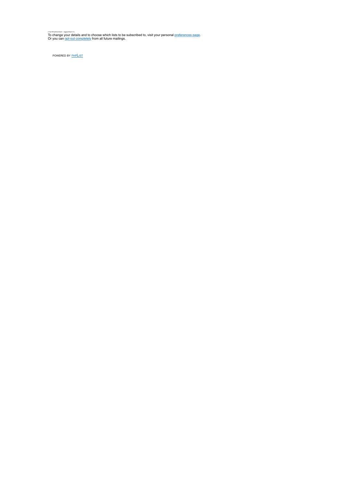ப<del>லையை குலவா.</del><br>To change your details and to choose which lists to be subscribed to, visit your personal <u>preferences page</u>.<br>Or you can <u>opt-out completely</u> from all future mailings.

POWERED BY **[PHPLIST](https://mail.doctors4covidethics.org/lists/lt.php?tid=fEleUFUFVFcIAhUCVVMDGARWBQQaAANVBk4JBAoAUF0BVlcGVwZJUFtTXgNRCgcYB1EAVxpVBARXTgFWVgRPBwwGUFAFBwdQAVMJT1JWVVYJUFRXGgQID1JODQpXAE8GBlFeTl9RUQUPCwoFBlcABA)**